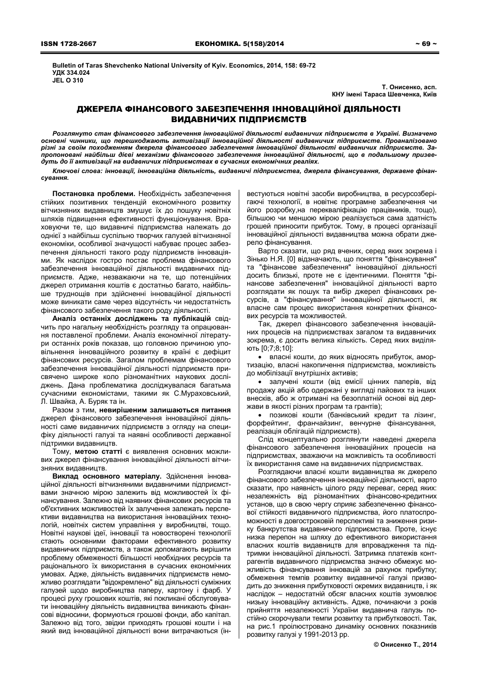**Bulletin of Taras Shevchenko National University of Kyiv. Economics, 2014, 158: 69-72 ɍȾɄ 334.024 JEL O 310** 

> **Т. Онисенко, асп.** КНУ імені Тараса Шевченка, Київ

# ДЖЕРЕЛА ФІНАНСОВОГО ЗАБЕЗПЕЧЕННЯ ІННОВАЦІЙНОЇ ДІЯЛЬНОСТІ ВИДАВНИЧИХ ПІДПРИЄМСТВ

Розглянуто стан фінансового забезпечення інноваційної діяльності видавничих підприємств в Україні. Визначено **основні чинники, що перешкоджають активізації інноваційної діяльності видавничих підприємств. Проаналізовано** різні за своїм походженням джерела фінансового забезпечення інноваційної діяльності видавничих підприємств. За-.<br>лропоновані найбільш дієві механізми фінансового забезпечення інноваційної діяльності, що в подальшому призве- $\dot{\theta}$ уть до її активізації на видавничих підприємствах в сучасних економічних реаліях.

Ключові слова: інновації, інноваційна діяльність, видавничі підприємства, джерела фінансування, державне фінан- $$ 

Постановка проблеми. Необхідність забезпечення стійких позитивних тенденцій економічного розвитку вітчизняних видавництв змушує їх до пошуку новітніх шляхів підвищення ефективності функціонування. Враховуючи те, що видавничі підприємства належать до однієї з найбільш суспільно творчих галузей вітчизняної економіки, особливої значущості набуває процес забезпечення діяльності такого роду підприємств інноваціями. Як наслідок гостро постає проблема фінансового забезпечення інноваційної діяльності видавничих підприємств. Адже, незважаючи на те, що потенційних джерел отримання коштів є достатньо багато, найбільше труднощів при здійсненні інноваційної діяльності може виникати саме через відсутність чи недостатність фінансового забезпечення такого роду діяльності.

Аналіз останніх досліджень та публікацій свідчить про нагальну необхідність розгляду та опрацювання поставленої проблеми. Аналіз економічної літератури останніх років показав, що головною причиною уповільнення інноваційного розвитку в країні є дефіцит фінансових ресурсів. Загалом проблемам фінансового забезпечення інноваційної діяльності підприємств присвячено широке коло різноманітних наукових досліджень. Дана проблематика досліджувалася багатьма сучасними економістами, такими як С. Мураховський, Л. Швайка, А. Буряк та ін.

Разом з тим, невирішеним залишаються питання джерел фінансового забезпечення інноваційної діяльності саме видавничих підприємств з огляду на специфіку діяльності галузі та наявні особливості державної підтримки видавництв.

Тому, метою статті є виявлення основних можливих джерел фінансування інноваційної діяльності вітчизняних видавництв.

Виклад основного матеріалу. Здійснення інноваційної діяльності вітчизняними видавничими підприємствами значною мірою залежить від можливостей їх фінансування. Залежно від наявних фінансових ресурсів та об'єктивних можливостей їх залучення залежать перспективи видавництва на використання інноваційних технологій, новітніх систем управління у виробництві, тощо. Новітні наукові ідеї, інновації та новостворені технології стають основними факторами ефективного розвитку видавничих підприємств, а також допомагають вирішити проблему обмеженості більшості необхідних ресурсів та раціонального їх використання в сучасних економічних умовах. Адже, діяльність видавничих підприємств неможливо розглядати "відокремлено" від діяльності суміжних галузей щодо виробництва паперу, картону і фарб. У процесі руху грошових коштів, які покликані обслуговувати інноваційну діяльність видавництва виникають фінансові відносини, формуються грошові фонди, або капітал. Залежно від того, звідки приходять грошові кошти і на який вид інноваційної діяльності вони витрачаються (інвестуються новітні засоби виробництва, в ресурсозберігаючі технології, в новітнє програмне забезпечення чи його розробку, на перекваліфікацію працівників, тощо), більшою чи меншою мірою реалізується сама здатність грошей приносити прибуток. Тому, в процесі організації інноваційної діяльності видавництва можна обрати джерело фінансування.

Варто сказати, що ряд вчених, серед яких зокрема і Зінько Н.Я. [0] відзначають, що поняття "фінансування" та "фінансове забезпечення" інноваційної діяльності досить близькі, проте не є ідентичними. Поняття "фінансове забезпечення" інноваційної діяльності варто розглядати як пошук та вибір джерел фінансових ресурсів, а "фінансування" інноваційної діяльності, як власне сам процес використання конкретних фінансових ресурсів та можливостей.

Так, джерел фінансового забезпечення інноваційних процесів на підприємствах загалом та видавничих зокрема, є досить велика кількість. Серед яких виділяють [0;7;8;10]:

• власні кошти, до яких відносять прибуток, амортизацію, власні накопичення підприємства, можливість до мобілізації внутрішніх активів;

• залучені кошти (від емісії цінних паперів, від продажу акцій або одержані у вигляді пайових та інших внесків, або ж отримані на безоплатній основі від держави в якості різних програм та грантів);

• позикові кошти (банківський кредит та лізинг. форфейтинг, франчайзинг, венчурне фінансування, реалізація облігацій підприємств).

Слід концептуально розглянути наведені джерела фінансового забезпечення інноваційних процесів на пілприємствах зважаючи на можливість та особливості їх використання саме на видавничих підприємствах.

Розглядаючи власні кошти видавництва як джерело фінансового забезпечення інноваційної діяльності, варто сказати, про наявність цілого ряду переваг, серед яких: незалежність від різноманітних фінансово-кредитних установ, що в свою чергу сприяє забезпеченню фінансової стійкості видавничого підприємства, його платоспроможності в довгостроковій перспективі та зниження ризику банкрутства видавничого підприємства. Проте, існує низка перепон на шляху до ефективного використання власних коштів видавництв для впровадження та підтримки інноваційної діяльності. Затримка платежів контрагентів видавничого підприємства значно обмежує можливість фінансування інновацій за рахунок прибутку; обмеження темпів розвитку видавничої галузі призводить до зниження прибутковості окремих видавництв. і як наслідок – недостатній обсяг власних коштів зумовлює низьку інноваційну активність. Адже, починаючи з років прийняття незалежності України видавнича галузь постійно скорочували темпи розвитку та прибутковості. Так, на рис.1 проілюстровано динаміку основних показників розвитку галузі у 1991-2013 pp.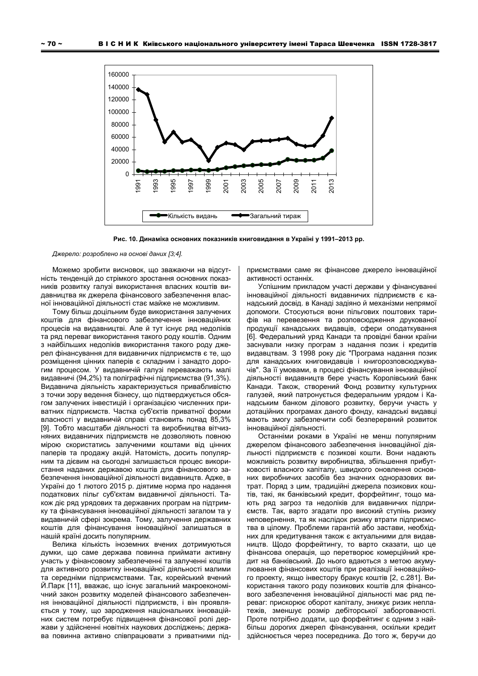

Рис. 10. Динаміка основних показників книговидання в Україні у 1991–2013 рр.

#### *Ⱦɠɟɪɟɥɨ: ɪɨɡɪɨɛɥɟɧɨ ɧɚ ɨɫɧɨɜɿ ɞɚɧɢɯ [3;4].*

Можемо зробити висновок, що зважаючи на відсутність тенденцій до стрімкого зростання основних показників розвитку галузі використання власних коштів видавництва як джерела фінансового забезпечення власної інноваційної діяльності стає майже не можливим.

Тому більш доцільним буде використання залучених коштів для фінансового забезпечення інноваційних процесів на видавництві. Але й тут існує ряд недоліків та ряд переваг використання такого роду коштів. Одним з найбільших недоліків використання такого роду джерел фінансування для видавничих підприємств є те, що розміщення цінних паперів є складним і занадто дорогим процесом. У видавничій галузі переважають малі видавничі (94,2%) та поліграфічні підприємства (91,3%). Видавнича діяльність характеризується привабливістю з точки зору ведення бізнесу, що підтверджується обсягом залучених інвестицій і організацією численних приватних підприємств. Частка суб'єктів приватної форми власності у видавничій справі становить понад 85,3% [9]. Тобто масштаби діяльності та виробництва вітчизняних видавничих підприємств не дозволяють повною мірою скористатись залученими коштами від цінних паперів та продажу акцій. Натомість, досить популярним та дієвим на сьогодні залишається процес використання наданих державою коштів для фінансового забезпечення інноваційної діяльності видавництв. Адже, в Україні до 1 лютого 2015 р. діятиме норма про надання податкових пільг суб'єктам видавничої діяльності. Також діє ряд урядових та державних програм на підтримку та фінансування інноваційної діяльності загалом та у видавничій сфері зокрема. Тому, залучення державних коштів для фінансування інноваційної залишаться в нашій країні досить популярним.

Велика кількість іноземних вчених дотримуються думки, що саме держава повинна приймати активну үчасть у фінансовому забезпеченні та залученні коштів для активного розвитку інноваційної діяльності малими та середніми підприємствами. Так, корейський вчений Й. Парк [11], вважає, що існує загальний макроекономічний закон розвитку моделей фінансового забезпечення інноваційної діяльності підприємств, і він проявляється у тому, що зародження національних інноваційних систем потребує підвищення фінансової ролі держави у здійсненні новітніх наукових досліджень; держава повинна активно співпрацювати з приватними підприємствами саме як фінансове джерело інноваційної активності останніх.

Успішним прикладом участі держави у фінансуванні інноваційної діяльності видавничих підприємств є канадський досвід. в Канаді задіяно й механізми непрямої допомоги. Стосуються вони пільгових поштових тарифів на перевезення та розповсюдження друкованої продукції канадських видавців, сфери оподаткування [6]. Федеральний уряд Канади та провідні банки країни заснували низку програм з надання позик і кредитів видавцтвам. З 1998 року діє "Програма надання позик для канадських книговидавців і книгорозповсюджувачів". За її умовами, в процесі фінансування інноваційної діяльності видавництв бере участь Королівський банк Канади. Також, створений Фонд розвитку культурних галузей, який патронується федеральним урядом і Канадським банком ділового розвитку, беручи участь у дотаційних програмах даного фонду, канадські видавці мають змогу забезпечити собі безперервний розвиток інноваційної діяльності.

Останніми роками в Україні не менш популярним джерелом фінансового забезпечення інноваційної діяльності підприємств є позикові кошти. Вони надають можливість розвитку виробництва, збільшення прибутковості власного капіталу, швидкого оновлення основних виробничих засобів без значних одноразових витрат. Поряд з цим, традиційні джерела позикових коштів, такі, як банківський кредит, форфейтинг, тощо мають ряд загроз та недоліків для видавничих підприємств. Так, варто згадати про високий ступінь ризику неповернення, та як наслідок ризику втрати підприємства в цілому. Проблеми гарантій або застави, необхідних для кредитування також є актуальними для видавництв. Щодо форфейтингу, то варто сказати, що це фінансова операція, що перетворює комерційний кредит на банківський. До нього вдаються з метою акумулювання фінансових коштів при реалізації інноваційного проекту, якщо інвестору бракує коштів [2, с.281]. Використання такого роду позикових коштів для фінансового забезпечення інноваційної діяльності має ряд переваг: прискорює оборот капіталу, знижує ризик неплатежів, зменшує розмір дебіторської заборгованості. Проте потрібно додати, що форфейтинг є одним з найбільш дорогих джерел фінансування, оскільки кредит здійснюється через посередника. До того ж, беручи до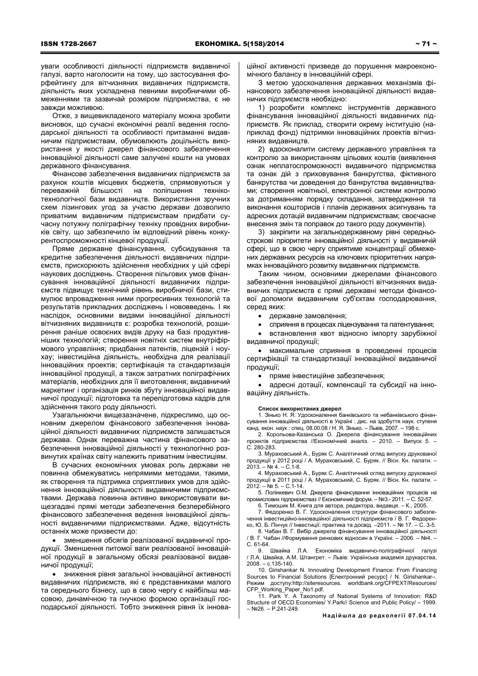уваги особливості діяльності підприємств видавничої галузі, варто наголосити на тому, що застосування форфейтингу для вітчизняних видавничих підприємств, діяльність яких ускладнена певними виробничими обмеженнями та зазвичай розміром підприємства, є не завжди можливою.

Отже, з вищевикладеного матеріалу можна зробити висновок, що сучасні економічні реалії ведення господарської діяльності та особливості притаманні видавничим підприємствам, обумовлюють доцільність використання у якості джерел фінансового забезпечення інноваційної діяльності саме залучені кошти на умовах державного фінансування.

Фінансове забезпечення вилавничих пілприємств за рахунок коштів місцевих бюджетів, спрямовуються у переважній більшості на поліпшення технікотехнологічної бази видавництв. Використання зручних схем лізингових угод за участю держави дозволило приватним видавничим підприємствам придбати сучасну потужну поліграфічну техніку провідних виробників світу, що забезпечило їм відповідний рівень конкурентоспроможності кінцевої продукції.

Пряме державне фінансування, субсидування та кредитне забезпечення діяльності видавничих підприємств, прискорюють здійснення необхідних у цій сфері наукових досліджень. Створення пільгових умов фінансування інноваційної діяльності видавничих підприємств підвищує технічний рівень виробничої бази, стимулює впровадження ними прогресивних технологій та результатів прикладних досліджень і нововведень. І як наслідок, основними видами інноваційної діяльності вітчизняних видавництв є: розробка технологій, розширення раніше освоєних видів друку на базі продуктивніших технологій; створення новітніх систем внутріфірмового управління: придбання патентів, ліцензій і ноухау; інвестиційна діяльність, необхідна для реалізації інноваційних проектів; сертифікація та стандартизація інноваційної продукції, а також затратних поліграфічних матеріалів, необхідних для її виготовлення; видавничий маркетинг і організація ринків збуту інноваційної видавничої продукції; підготовка та перепідготовка кадрів для здійснення такого роду діяльності.

Узагальнюючи вищезазначене, підкреслимо, що основним джерелом фінансового забезпечення інноваційної діяльності видавничих підприємств залишається держава. Однак переважна частина фінансового забезпечення інноваційної діяльності у технологічно розвинутих країнах світу належить приватним інвестиціям.

В сучасних економічних умовах роль держави не повинна обмежуватись непрямими методами, такими, як створення та підтримка сприятливих умов для здійснення інноваційної діяльності видавничими підприємствами. Держава повинна активно використовувати вищезгадані прямі методи забезпечення безперебійного фінансового забезпечення ведення інноваційної діяльності видавничими підприємствами. Адже, відсутність останніх може призвести до:

зменшення обсягів реалізованої видавничої продукції. Зменшення питомої ваги реалізованої інноваційної продукції в загальному обсязі реалізованої видавничої продукції;

зниження рівня загальної інноваційної активності видавничих підприємств, які є представниками малого та середнього бізнесу, що в свою чергу є найбільш масовою, динамічною та гнучкою формою організації господарської діяльності. Тобто зниження рівня їх інноваційної активності призведе до порушення макроекономічного балансу в інноваційній сфері.

З метою удосконалення державних механізмів фінансового забезпечення інноваційної діяльності видавничих підприємств необхідно:

1) розробити комплекс інструментів державного фінансування інноваційної діяльності видавничих підприємств. Як приклад, створити окрему інституцію (наприклад фонд) підтримки інноваційних проектів вітчиз-НЯНИХ ВИДАВНИЦТВ.

2) вдосконалити систему державного управління та контролю за використанням цільових коштів (виявлення ознак неплатоспроможності видавничого підприємства та ознак дій з приховування банкрутства, фіктивного банкрутства чи доведення до банкрутства видавництвами; створення новітньої, електронної системи контролю за дотриманням порядку складання, затвердження та виконання кошторисів і планів державних асигнувань та адресних дотацій видавничим підприємствам; своєчасне внесення змін та поправок до такого роду документів).

3) закріпити на загальнодержавному рівні середньострокові пріоритети інноваційної діяльності у видавничій сфері, що в свою чергу сприятиме концентрації обмежених державних ресурсів на ключових пріоритетних напрямках інноваційного розвитку видавничих підприємств.

Таким чином, основними джерелами фінансового забезпечення інноваційної діяльності вітчизняних видавничих підприємств є прямі державні методи фінансової допомоги видавничим суб'єктам господарювання, серед яких:

• державне замовлення;

• сприяння в процесах ліцензування та патентування;

встановлення квот відносно імпорту зарубіжної видавничої продукції;

• максимальне сприяння в проведенні процесів сертифікації та стандартизації інноваційної видавничої продукції;

пряме інвестиційне забезпечення;

адресні дотації, компенсації та субсидії на інноваційну діяльність.

#### Список використаних джерел

1. Зінько Н. Я. Удосконалення банківського та небанківського фінансування інноваційної діяльності в Україні : дис. на здобуття наук. ступеня канд. екон. наук : спец. 08.00.08 / Н. Я. Зінько. – Львів, 2007. – 198 с.

2. Корольова-Казанська О. Джерела фінансування інноваційних проектів підприємства //Економічний аналіз. – 2010. – Випуск 5. C. 280-283.

3. Мураховський А., Буряк С. Аналітичний огляд випуску друкованої продукції у 2012 році / А. Мураховський, С. Буряк. // Вісн. Кн. палати. - $2013. - Ne4. - C.1-8.$ 

4. Мураховський А., Буряк С. Аналітичний огляд випуску друкованої продукції в 2011 році / А. Мураховський, С. Буряк. // Вісн. Кн. палати. – 2012. – № 5. – С.1-14.

5. Полінкевич О.М. Джерела фінансування інноваційних процесів на промислових підприємстваз // Економічний форум. – №3.- 2011. – С. 52-57.

6. Тимошик М. Книга для автора, редактора, видавця. – К., 2005. 7. Федоренко В. Г. Удосконалення структури фінансового забезпе-

чення інвестиційно-інноваційної діяльності підприємств / В. Г. Федоренко, Ю. Б. Пінчук // Інвестиції: практика та досвід. –2011. – № 17. – С. 3-5. 8. Чабан В. Г. Вибір джерела фінансування інноваційної діяльності

/ В. Г. Чабан //Формування ринкових відносин в Україні. - 2006. - №4. ɋ. 61-64.

9. Швайка Л.А. Економіка видавничо-поліграфічної галузі / Л.А. Швайка, А.М. Штангрет. – Львів: Українська академія друкарства,  $2008. - c.135 - 140.$ 

10*.* Girishankar N. Innovating Development Finance: From Financing Sources to Financial Solutions [Електронний ресурс] / N. Girishankar-. Режим доступу:http://siteresources. worldbank.org/CFPEXT/Resources/ CFP\_Working\_Paper\_No1.pdf.

11. Park Y. A Taxonomy of National Systems of Innovation: R&D Structure of OECD Economies/ Y.Park// Science and Public Policy/ – 1999.  $-$  N<sub>2</sub>26. – P.241-249.

Надійшла до редколегії 07.04.14